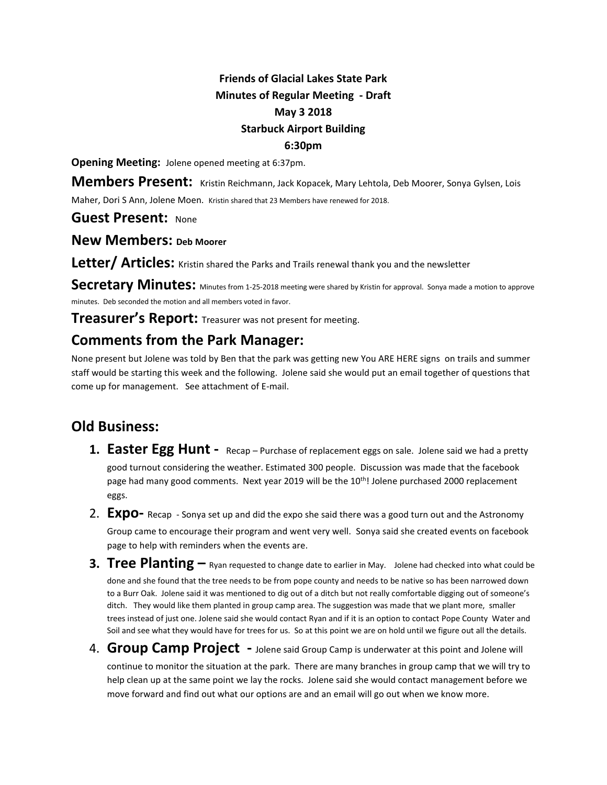## **Friends of Glacial Lakes State Park Minutes of Regular Meeting - Draft May 3 2018 Starbuck Airport Building 6:30pm**

**Opening Meeting:** Jolene opened meeting at 6:37pm.

**Members Present:** Kristin Reichmann, Jack Kopacek, Mary Lehtola, Deb Moorer, Sonya Gylsen, Lois

Maher, Dori S Ann, Jolene Moen. Kristin shared that 23 Members have renewed for 2018.

**Guest Present:** None

**New Members: Deb Moorer**

**Letter/ Articles:** Kristin shared the Parks and Trails renewal thank you and the newsletter

**Secretary Minutes:** Minutes from 1-25-2018 meeting were shared by Kristin for approval. Sonya made a motion to approve minutes. Deb seconded the motion and all members voted in favor.

**Treasurer's Report:** Treasurer was not present for meeting.

## **Comments from the Park Manager:**

None present but Jolene was told by Ben that the park was getting new You ARE HERE signs on trails and summer staff would be starting this week and the following. Jolene said she would put an email together of questions that come up for management. See attachment of E-mail.

## **Old Business:**

- 1. **Easter Egg Hunt -** Recap Purchase of replacement eggs on sale. Jolene said we had a pretty good turnout considering the weather. Estimated 300 people. Discussion was made that the facebook page had many good comments. Next year 2019 will be the 10<sup>th</sup>! Jolene purchased 2000 replacement eggs.
- 2. **Expo-** Recap Sonya set up and did the expo she said there was a good turn out and the Astronomy Group came to encourage their program and went very well. Sonya said she created events on facebook page to help with reminders when the events are.
- **3. Tree Planting –** Ryan requested to change date to earlier in May. Jolene had checked into what could be done and she found that the tree needs to be from pope county and needs to be native so has been narrowed down to a Burr Oak. Jolene said it was mentioned to dig out of a ditch but not really comfortable digging out of someone's ditch. They would like them planted in group camp area. The suggestion was made that we plant more, smaller trees instead of just one. Jolene said she would contact Ryan and if it is an option to contact Pope County Water and Soil and see what they would have for trees for us. So at this point we are on hold until we figure out all the details.
- 4. **Group Camp Project** Jolene said Group Camp is underwater at this point and Jolene will

continue to monitor the situation at the park. There are many branches in group camp that we will try to help clean up at the same point we lay the rocks. Jolene said she would contact management before we move forward and find out what our options are and an email will go out when we know more.